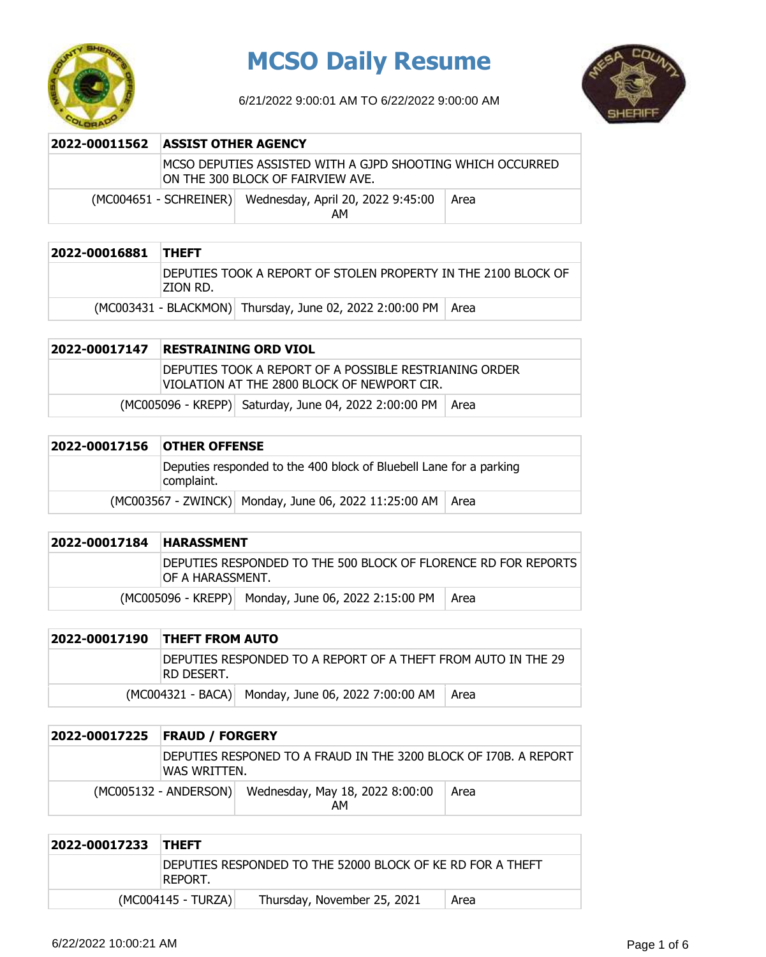

# **MCSO Daily Resume**

6/21/2022 9:00:01 AM TO 6/22/2022 9:00:00 AM



| 2022-00011562 | <b>ASSIST OTHER AGENCY</b>                                                                      |                                                                |      |
|---------------|-------------------------------------------------------------------------------------------------|----------------------------------------------------------------|------|
|               | MCSO DEPUTIES ASSISTED WITH A GJPD SHOOTING WHICH OCCURRED<br>ON THE 300 BLOCK OF FAIRVIEW AVE. |                                                                |      |
|               |                                                                                                 | (MC004651 - SCHREINER) Wednesday, April 20, 2022 9:45:00<br>AM | Area |

| 2022-00016881 THEFT |                                                                             |                                                                 |  |
|---------------------|-----------------------------------------------------------------------------|-----------------------------------------------------------------|--|
|                     | DEPUTIES TOOK A REPORT OF STOLEN PROPERTY IN THE 2100 BLOCK OF<br>izion RD. |                                                                 |  |
|                     |                                                                             | (MC003431 - BLACKMON) Thursday, June 02, 2022 2:00:00 PM   Area |  |

### **2022-00017147 RESTRAINING ORD VIOL** DEPUTIES TOOK A REPORT OF A POSSIBLE RESTRIANING ORDER VIOLATION AT THE 2800 BLOCK OF NEWPORT CIR.  $(MCOO5096 - KREPP)$  Saturday, June 04, 2022 2:00:00 PM Area

| 2022-00017156 | <b>OTHER OFFENSE</b>                                                             |  |  |
|---------------|----------------------------------------------------------------------------------|--|--|
|               | Deputies responded to the 400 block of Bluebell Lane for a parking<br>complaint. |  |  |
|               | (MC003567 - ZWINCK) Monday, June 06, 2022 11:25:00 AM   Area                     |  |  |

| 2022-00017184 | <b>HARASSMENT</b>                                                                   |                                                     |      |
|---------------|-------------------------------------------------------------------------------------|-----------------------------------------------------|------|
|               | DEPUTIES RESPONDED TO THE 500 BLOCK OF FLORENCE RD FOR REPORTS<br>IOF A HARASSMENT. |                                                     |      |
|               |                                                                                     | (MC005096 - KREPP) Monday, June 06, 2022 2:15:00 PM | Area |

| 2022-00017190 THEFT FROM AUTO                                                |                                                    |      |
|------------------------------------------------------------------------------|----------------------------------------------------|------|
| DEPUTIES RESPONDED TO A REPORT OF A THEFT FROM AUTO IN THE 29<br>IRD DESERT. |                                                    |      |
|                                                                              | (MC004321 - BACA) Monday, June 06, 2022 7:00:00 AM | Area |

| 2022-00017225 | <b>FRAUD / FORGERY</b>                                                            |                                       |      |
|---------------|-----------------------------------------------------------------------------------|---------------------------------------|------|
|               | DEPUTIES RESPONED TO A FRAUD IN THE 3200 BLOCK OF I70B. A REPORT<br>IWAS WRITTEN. |                                       |      |
|               | (MC005132 - ANDERSON)                                                             | Wednesday, May 18, 2022 8:00:00<br>AM | Area |

| 2022-00017233 THEFT |                                                                        |  |
|---------------------|------------------------------------------------------------------------|--|
|                     | IDEPUTIES RESPONDED TO THE 52000 BLOCK OF KE RD FOR A THEFT<br>REPORT. |  |
|                     | (MC004145 - TURZA)<br>Thursday, November 25, 2021<br>Area              |  |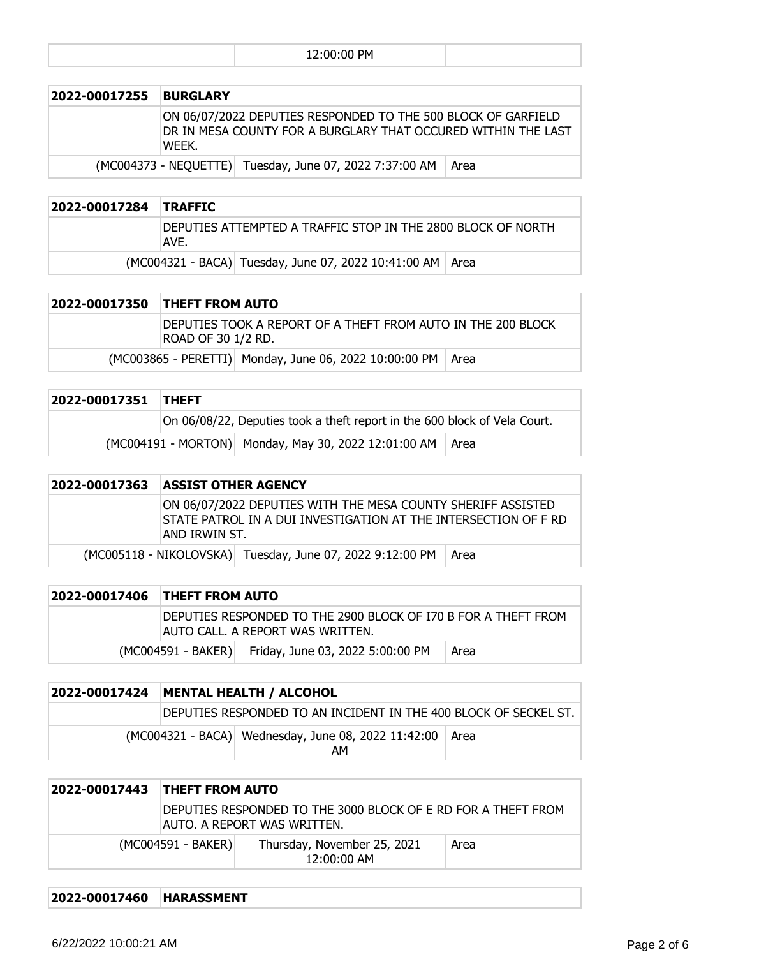|--|

| 2022-00017255 | <b>BURGLARY</b>                                                                                                                         |                                                         |      |
|---------------|-----------------------------------------------------------------------------------------------------------------------------------------|---------------------------------------------------------|------|
|               | ON 06/07/2022 DEPUTIES RESPONDED TO THE 500 BLOCK OF GARFIELD<br>DR IN MESA COUNTY FOR A BURGLARY THAT OCCURED WITHIN THE LAST<br>WEEK. |                                                         |      |
|               |                                                                                                                                         | (MC004373 - NEQUETTE) Tuesday, June 07, 2022 7:37:00 AM | Area |

#### **2022-00017284 TRAFFIC**

| DEPUTIES ATTEMPTED A TRAFFIC STOP IN THE 2800 BLOCK OF NORTH<br>AVE. |  |                                                             |  |
|----------------------------------------------------------------------|--|-------------------------------------------------------------|--|
|                                                                      |  | (MC004321 - BACA) Tuesday, June 07, 2022 10:41:00 AM   Area |  |

| 2022-00017350 THEFT FROM AUTO                                                      |  |  |
|------------------------------------------------------------------------------------|--|--|
| DEPUTIES TOOK A REPORT OF A THEFT FROM AUTO IN THE 200 BLOCK<br>ROAD OF 30 1/2 RD. |  |  |
| (MC003865 - PERETTI) Monday, June 06, 2022 10:00:00 PM   Area                      |  |  |

| 2022-00017351 THEFT |                                                                           |  |
|---------------------|---------------------------------------------------------------------------|--|
|                     | On 06/08/22, Deputies took a theft report in the 600 block of Vela Court. |  |
|                     | (MC004191 - MORTON) Monday, May 30, 2022 12:01:00 AM   Area               |  |

#### **2022-00017363 ASSIST OTHER AGENCY**

ON 06/07/2022 DEPUTIES WITH THE MESA COUNTY SHERIFF ASSISTED STATE PATROL IN A DUI INVESTIGATION AT THE INTERSECTION OF F RD AND IRWIN ST.

 $(MCOO5118 - NIKOLOVSKA)$  Tuesday, June 07, 2022 9:12:00 PM  $|$  Area

| 2022-00017406 THEFT FROM AUTO                                                                      |                                                     |      |
|----------------------------------------------------------------------------------------------------|-----------------------------------------------------|------|
| DEPUTIES RESPONDED TO THE 2900 BLOCK OF 170 B FOR A THEFT FROM<br>AUTO CALL. A REPORT WAS WRITTEN. |                                                     |      |
|                                                                                                    | (MC004591 - BAKER) Friday, June 03, 2022 5:00:00 PM | Area |

|  | 2022-00017424   MENTAL HEALTH / ALCOHOL                          |  |  |
|--|------------------------------------------------------------------|--|--|
|  | DEPUTIES RESPONDED TO AN INCIDENT IN THE 400 BLOCK OF SECKEL ST. |  |  |
|  | (MC004321 - BACA) Wednesday, June 08, 2022 11:42:00 Area<br>АΜ   |  |  |

| 2022-00017443 | <b>THEFT FROM AUTO</b>                                                                       |                                              |      |
|---------------|----------------------------------------------------------------------------------------------|----------------------------------------------|------|
|               | DEPUTIES RESPONDED TO THE 3000 BLOCK OF E RD FOR A THEFT FROM<br>AUTO. A REPORT WAS WRITTEN. |                                              |      |
|               | $(MCOO4591 - BAKER)$                                                                         | Thursday, November 25, 2021<br>$12:00:00$ AM | Area |

**2022-00017460 HARASSMENT**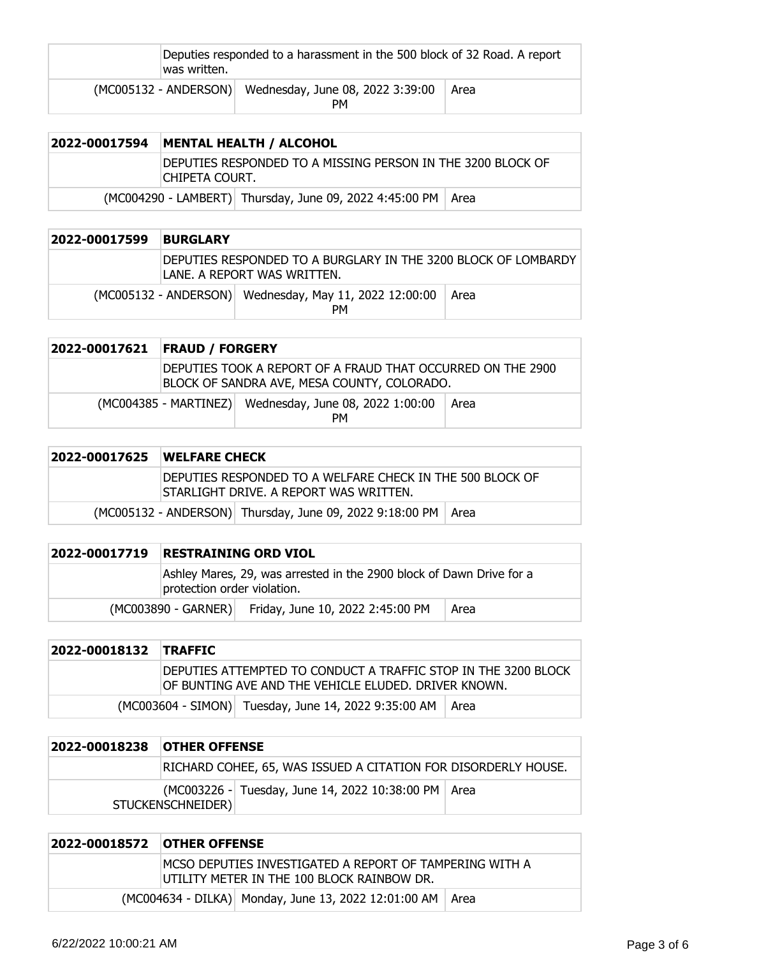| was written. | Deputies responded to a harassment in the 500 block of 32 Road. A report |      |  |
|--------------|--------------------------------------------------------------------------|------|--|
|              | (MC005132 - ANDERSON) Wednesday, June 08, 2022 3:39:00<br>PМ             | Area |  |

| 2022-00017594 | <b>MENTAL HEALTH / ALCOHOL</b>                                                  |  |  |
|---------------|---------------------------------------------------------------------------------|--|--|
|               | IDEPUTIES RESPONDED TO A MISSING PERSON IN THE 3200 BLOCK OF<br>ICHIPETA COURT. |  |  |
|               | (MC004290 - LAMBERT) Thursday, June 09, 2022 4:45:00 PM   Area                  |  |  |

| 2022-00017599 | <b>BURGLARY</b> |                                                                                                |      |
|---------------|-----------------|------------------------------------------------------------------------------------------------|------|
|               |                 | DEPUTIES RESPONDED TO A BURGLARY IN THE 3200 BLOCK OF LOMBARDY<br>ILANE. A REPORT WAS WRITTEN. |      |
|               |                 | (MC005132 - ANDERSON) Wednesday, May 11, 2022 12:00:00<br><b>PM</b>                            | Area |

| 2022-00017621 FRAUD / FORGERY |                                                                                                            |      |
|-------------------------------|------------------------------------------------------------------------------------------------------------|------|
|                               | DEPUTIES TOOK A REPORT OF A FRAUD THAT OCCURRED ON THE 2900<br>BLOCK OF SANDRA AVE, MESA COUNTY, COLORADO. |      |
|                               | (MC004385 - MARTINEZ) Wednesday, June 08, 2022 1:00:00<br><b>PM</b>                                        | Area |

| 2022-00017625 | <b>IWELFARE CHECK</b>                                                                                |                                                                 |  |
|---------------|------------------------------------------------------------------------------------------------------|-----------------------------------------------------------------|--|
|               | DEPUTIES RESPONDED TO A WELFARE CHECK IN THE 500 BLOCK OF<br>ISTARLIGHT DRIVE. A REPORT WAS WRITTEN. |                                                                 |  |
|               |                                                                                                      | (MC005132 - ANDERSON) Thursday, June 09, 2022 9:18:00 PM   Area |  |

| 2022-00017719 | <b>RESTRAINING ORD VIOL</b> |                                                                      |      |
|---------------|-----------------------------|----------------------------------------------------------------------|------|
|               | protection order violation. | Ashley Mares, 29, was arrested in the 2900 block of Dawn Drive for a |      |
|               |                             | (MC003890 - GARNER) Friday, June 10, 2022 2:45:00 PM                 | Area |

| 2022-00018132 TRAFFIC |                                                                                                                        |
|-----------------------|------------------------------------------------------------------------------------------------------------------------|
|                       | DEPUTIES ATTEMPTED TO CONDUCT A TRAFFIC STOP IN THE 3200 BLOCK<br>OF BUNTING AVE AND THE VEHICLE ELUDED. DRIVER KNOWN. |
|                       | (MC003604 - SIMON) Tuesday, June 14, 2022 9:35:00 AM   Area                                                            |

| 2022-00018238 | <b>OTHER OFFENSE</b>                                           |                                                       |  |
|---------------|----------------------------------------------------------------|-------------------------------------------------------|--|
|               | RICHARD COHEE, 65, WAS ISSUED A CITATION FOR DISORDERLY HOUSE. |                                                       |  |
|               | STUCKENSCHNEIDER)                                              | (MC003226 - Tuesday, June 14, 2022 10:38:00 PM   Area |  |

| <b>2022-00018572 OTHER OFFENSE</b> |                                                                                                         |  |
|------------------------------------|---------------------------------------------------------------------------------------------------------|--|
|                                    | IMCSO DEPUTIES INVESTIGATED A REPORT OF TAMPERING WITH A<br>IUTILITY METER IN THE 100 BLOCK RAINBOW DR. |  |
|                                    | (MC004634 - DILKA) Monday, June 13, 2022 12:01:00 AM   Area                                             |  |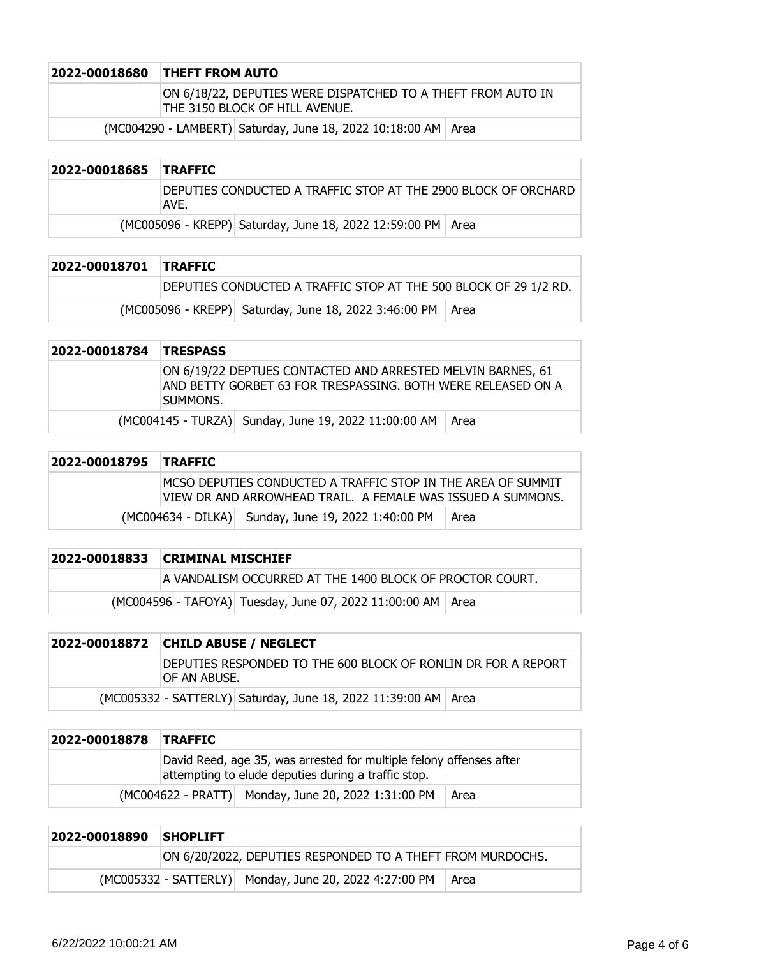| 2022-00018680 THEFT FROM AUTO                                                                  |
|------------------------------------------------------------------------------------------------|
| ON 6/18/22, DEPUTIES WERE DISPATCHED TO A THEFT FROM AUTO IN<br>THE 3150 BLOCK OF HILL AVENUE. |
|                                                                                                |

 $(MCOO4290 - LAMBERT)$  Saturday, June 18, 2022 10:18:00 AM Area

| 2022-00018685 TRAFFIC |      |                                                                |  |
|-----------------------|------|----------------------------------------------------------------|--|
|                       | AVE. | DEPUTIES CONDUCTED A TRAFFIC STOP AT THE 2900 BLOCK OF ORCHARD |  |
|                       |      | (MC005096 - KREPP) Saturday, June 18, 2022 12:59:00 PM   Area  |  |

| 2022-00018701 TRAFFIC |                                                                  |  |
|-----------------------|------------------------------------------------------------------|--|
|                       | DEPUTIES CONDUCTED A TRAFFIC STOP AT THE 500 BLOCK OF 29 1/2 RD. |  |
|                       | (MC005096 - KREPP) Saturday, June 18, 2022 3:46:00 PM   Area     |  |

| 2022-00018784 TRESPASS |                                                                                                                                          |
|------------------------|------------------------------------------------------------------------------------------------------------------------------------------|
|                        | ON 6/19/22 DEPTUES CONTACTED AND ARRESTED MELVIN BARNES, 61<br>AND BETTY GORBET 63 FOR TRESPASSING. BOTH WERE RELEASED ON A<br>Isummons. |
|                        | (MC004145 - TURZA) Sunday, June 19, 2022 11:00:00 AM   Area                                                                              |

| 2022-00018795 TRAFFIC |                                                                                                                              |      |
|-----------------------|------------------------------------------------------------------------------------------------------------------------------|------|
|                       | IMCSO DEPUTIES CONDUCTED A TRAFFIC STOP IN THE AREA OF SUMMIT<br>VIEW DR AND ARROWHEAD TRAIL. A FEMALE WAS ISSUED A SUMMONS. |      |
|                       | (MC004634 - DILKA) Sunday, June 19, 2022 1:40:00 PM                                                                          | Area |

| 2022-00018833 CRIMINAL MISCHIEF                               |  |  |
|---------------------------------------------------------------|--|--|
| A VANDALISM OCCURRED AT THE 1400 BLOCK OF PROCTOR COURT.      |  |  |
| (MC004596 - TAFOYA) Tuesday, June 07, 2022 11:00:00 AM   Area |  |  |

| 2022-00018872 CHILD ABUSE / NEGLECT                                            |  |  |
|--------------------------------------------------------------------------------|--|--|
| DEPUTIES RESPONDED TO THE 600 BLOCK OF RONLIN DR FOR A REPORT<br>IOF AN ABUSE. |  |  |
| (MC005332 - SATTERLY) Saturday, June 18, 2022 11:39:00 AM Area                 |  |  |

| 2022-00018878 | <b>TRAFFIC</b>                                                                                                             |                                                     |      |
|---------------|----------------------------------------------------------------------------------------------------------------------------|-----------------------------------------------------|------|
|               | David Reed, age 35, was arrested for multiple felony offenses after<br>attempting to elude deputies during a traffic stop. |                                                     |      |
|               |                                                                                                                            | (MC004622 - PRATT) Monday, June 20, 2022 1:31:00 PM | Area |

| 2022-00018890 | <b>SHOPLIFT</b>                                            |                                                        |      |
|---------------|------------------------------------------------------------|--------------------------------------------------------|------|
|               | ON 6/20/2022, DEPUTIES RESPONDED TO A THEFT FROM MURDOCHS. |                                                        |      |
|               |                                                            | (MC005332 - SATTERLY) Monday, June 20, 2022 4:27:00 PM | Area |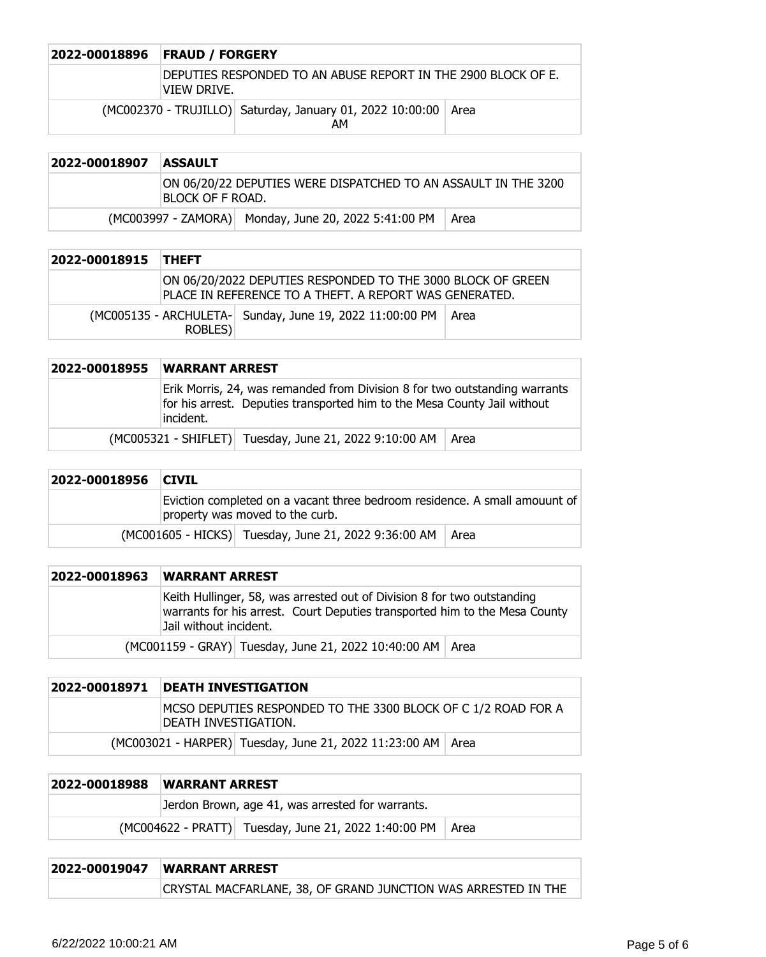| 2022-00018896 | <b>FRAUD / FORGERY</b>                                                        |  |  |
|---------------|-------------------------------------------------------------------------------|--|--|
|               | DEPUTIES RESPONDED TO AN ABUSE REPORT IN THE 2900 BLOCK OF E.<br>iview Drive. |  |  |
|               | (MC002370 - TRUJILLO) Saturday, January 01, 2022 10:00:00 Area<br>AΜ          |  |  |

| 2022-00018907 | <b>ASSAULT</b>                                                                     |                                                      |      |
|---------------|------------------------------------------------------------------------------------|------------------------------------------------------|------|
|               | ON 06/20/22 DEPUTIES WERE DISPATCHED TO AN ASSAULT IN THE 3200<br>BLOCK OF F ROAD. |                                                      |      |
|               |                                                                                    | (MC003997 - ZAMORA) Monday, June 20, 2022 5:41:00 PM | Area |

| 2022-00018915 THEFT |         |                                                                                                                       |  |
|---------------------|---------|-----------------------------------------------------------------------------------------------------------------------|--|
|                     |         | ON 06/20/2022 DEPUTIES RESPONDED TO THE 3000 BLOCK OF GREEN<br>PLACE IN REFERENCE TO A THEFT. A REPORT WAS GENERATED. |  |
|                     | ROBLES) | (MC005135 - ARCHULETA- Sunday, June 19, 2022 11:00:00 PM   Area                                                       |  |

| 2022-00018955 | <b>WARRANT ARREST</b>                                                                                                                                                |      |
|---------------|----------------------------------------------------------------------------------------------------------------------------------------------------------------------|------|
|               | Erik Morris, 24, was remanded from Division 8 for two outstanding warrants<br>for his arrest. Deputies transported him to the Mesa County Jail without<br>lincident. |      |
|               | (MC005321 - SHIFLET) Tuesday, June 21, 2022 9:10:00 AM                                                                                                               | Area |

| 2022-00018956 | <b>CIVIL</b>                                                                                                  |                                                             |  |
|---------------|---------------------------------------------------------------------------------------------------------------|-------------------------------------------------------------|--|
|               | Eviction completed on a vacant three bedroom residence. A small amouunt of<br>property was moved to the curb. |                                                             |  |
|               |                                                                                                               | (MC001605 - HICKS) Tuesday, June 21, 2022 9:36:00 AM   Area |  |

| 2022-00018963 | <b>WARRANT ARREST</b>                                                                                                                                                           |  |
|---------------|---------------------------------------------------------------------------------------------------------------------------------------------------------------------------------|--|
|               | Keith Hullinger, 58, was arrested out of Division 8 for two outstanding<br>warrants for his arrest. Court Deputies transported him to the Mesa County<br>Jail without incident. |  |
|               | (MC001159 - GRAY) Tuesday, June 21, 2022 10:40:00 AM   Area                                                                                                                     |  |

| 2022-00018971   DEATH INVESTIGATION                                                    |  |
|----------------------------------------------------------------------------------------|--|
| MCSO DEPUTIES RESPONDED TO THE 3300 BLOCK OF C 1/2 ROAD FOR A<br>IDEATH INVESTIGATION. |  |
| (MC003021 - HARPER) Tuesday, June 21, 2022 11:23:00 AM   Area                          |  |

| 2022-00018988 | <b>WARRANT ARREST</b>                                |        |
|---------------|------------------------------------------------------|--------|
|               | Jerdon Brown, age 41, was arrested for warrants.     |        |
|               | (MC004622 - PRATT) Tuesday, June 21, 2022 1:40:00 PM | ∣ Area |

## **2022-00019047 WARRANT ARREST** CRYSTAL MACFARLANE, 38, OF GRAND JUNCTION WAS ARRESTED IN THE